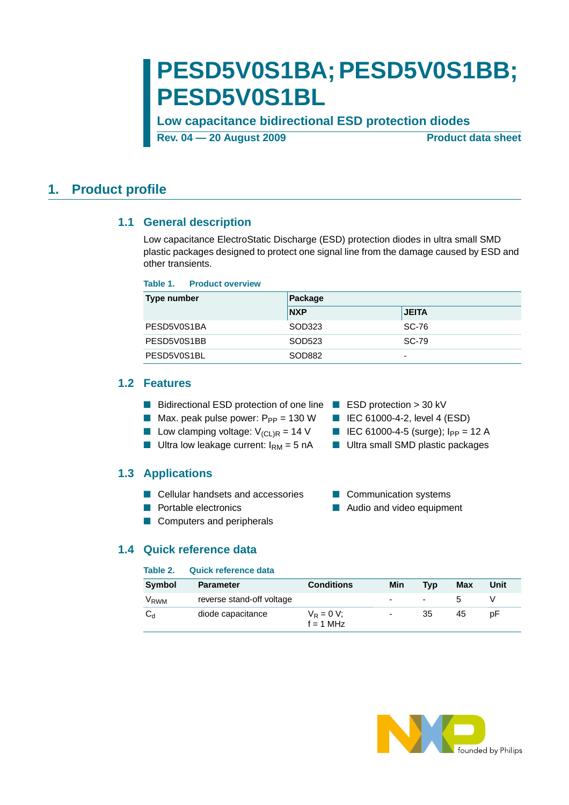# **PESD5V0S1BA;PESD5V0S1BB; PESD5V0S1BL**

**Low capacitance bidirectional ESD protection diodes**

**Rev. 04 – 20 August 2009** Product data sheet

## <span id="page-0-1"></span><span id="page-0-0"></span>**1. Product profile**

### **1.1 General description**

Low capacitance ElectroStatic Discharge (ESD) protection diodes in ultra small SMD plastic packages designed to protect one signal line from the damage caused by ESD and other transients.

#### **Table 1. Product overview**

| Type number | Package    |              |  |  |
|-------------|------------|--------------|--|--|
|             | <b>NXP</b> | <b>JEITA</b> |  |  |
| PESD5V0S1BA | SOD323     | SC-76        |  |  |
| PESD5V0S1BB | SOD523     | SC-79        |  |  |
| PESD5V0S1BL | SOD882     | -            |  |  |

### <span id="page-0-2"></span>**1.2 Features**

- Bidirectional ESD protection of one line ESD protection > 30 kV
- Max. peak pulse power:  $P_{PP} = 130 W$  IEC 61000-4-2, level 4 (ESD)
- Low clamping voltage:  $V_{\text{(CL)R}} = 14 \text{ V}$  IEC 61000-4-5 (surge); I<sub>PP</sub> = 12 A
- Ultra low leakage current:  $I_{RM} = 5$  nA Ultra small SMD plastic packages

### <span id="page-0-3"></span>**1.3 Applications**

- Cellular handsets and accessories Communication systems
- 
- Computers and peripherals

- 
- 
- 
- 
- Portable electronics Audio and video equipment

### <span id="page-0-4"></span>**1.4 Quick reference data**

### **Table 2. Quick reference data**

| <b>Symbol</b>    | <b>Parameter</b>          | <b>Conditions</b>            | Min | <b>Tvp</b> | Max | Unit |
|------------------|---------------------------|------------------------------|-----|------------|-----|------|
| V <sub>RWM</sub> | reverse stand-off voltage |                              | -   | $\sim$     |     |      |
| انظ              | diode capacitance         | $V_R = 0 V$ ;<br>$f = 1$ MHz | ۰   | 35         | 45  | рF   |

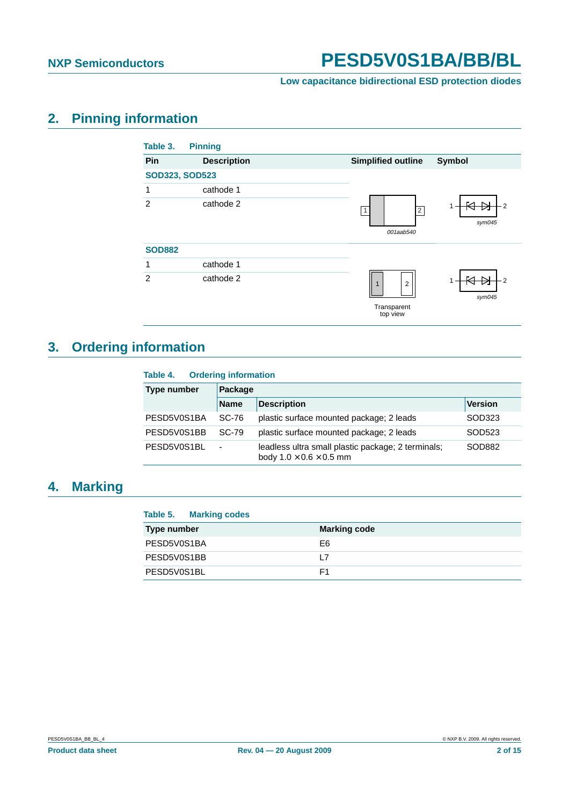

# <span id="page-1-1"></span>**2. Pinning information**

<span id="page-1-0"></span>

| Table 3.              | <b>Pinning</b>     |                                               |
|-----------------------|--------------------|-----------------------------------------------|
| Pin                   | <b>Description</b> | <b>Simplified outline</b><br>Symbol           |
| <b>SOD323, SOD523</b> |                    |                                               |
| 1                     | cathode 1          |                                               |
| $\overline{2}$        | cathode 2          | 2<br>$\overline{2}$<br>sym045<br>001aab540    |
| <b>SOD882</b>         |                    |                                               |
| 1                     | cathode 1          |                                               |
| $\overline{2}$        | cathode 2          | 2<br>$\overline{2}$<br>$\mathbf{1}$<br>sym045 |
|                       |                    | Transparent<br>top view                       |

# <span id="page-1-2"></span>**3. Ordering information**

| Table 4.           | <b>Ordering information</b> |                                                                                           |                |  |  |  |
|--------------------|-----------------------------|-------------------------------------------------------------------------------------------|----------------|--|--|--|
| <b>Type number</b> |                             | Package                                                                                   |                |  |  |  |
|                    | <b>Name</b>                 | <b>Description</b>                                                                        | <b>Version</b> |  |  |  |
| PESD5V0S1BA        | SC-76                       | plastic surface mounted package; 2 leads                                                  | SOD323         |  |  |  |
| PESD5V0S1BB        | SC-79                       | plastic surface mounted package; 2 leads                                                  | SOD523         |  |  |  |
| PESD5V0S1BL        | -                           | leadless ultra small plastic package; 2 terminals;<br>body $1.0 \times 0.6 \times 0.5$ mm | SOD882         |  |  |  |

# <span id="page-1-3"></span>**4. Marking**

| <b>Marking codes</b><br>Table 5. |                     |
|----------------------------------|---------------------|
| Type number                      | <b>Marking code</b> |
| PESD5V0S1BA                      | E6                  |
| PESD5V0S1BB                      | l 7                 |
| PESD5V0S1BL                      | F1                  |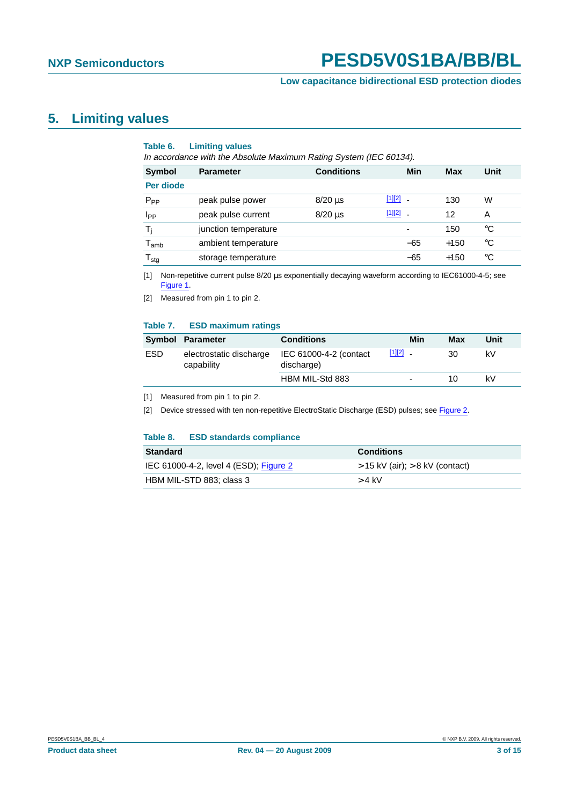## <span id="page-2-4"></span>**5. Limiting values**

#### **Table 6. Limiting values**

In accordance with the Absolute Maximum Rating System (IEC 60134).

| <b>Symbol</b>    | <b>Parameter</b>     | <b>Conditions</b> |        | Min                      | <b>Max</b> | Unit        |
|------------------|----------------------|-------------------|--------|--------------------------|------------|-------------|
| Per diode        |                      |                   |        |                          |            |             |
| $P_{PP}$         | peak pulse power     | $8/20 \mu s$      | [1][2] | $\overline{\phantom{a}}$ | 130        | W           |
| I <sub>PP</sub>  | peak pulse current   | $8/20 \mu s$      | [1][2] | $\tilde{\phantom{a}}$    | 12         | A           |
| $T_i$            | junction temperature |                   |        | $\overline{\phantom{0}}$ | 150        | °C          |
| $T_{amb}$        | ambient temperature  |                   |        | $-65$                    | $+150$     | °C          |
| $T_{\text{stg}}$ | storage temperature  |                   |        | $-65$                    | $+150$     | $^{\circ}C$ |

<span id="page-2-0"></span>[1] Non-repetitive current pulse 8/20 µs exponentially decaying waveform according to IEC61000-4-5; see [Figure](#page-3-1) 1.

<span id="page-2-1"></span>[2] Measured from pin 1 to pin 2.

#### **Table 7. ESD maximum ratings**

|     | Symbol Parameter                      | <b>Conditions</b>                    | Min        | Max | Unit |
|-----|---------------------------------------|--------------------------------------|------------|-----|------|
| ESD | electrostatic discharge<br>capability | IEC 61000-4-2 (contact<br>discharge) | $[1][2]$ . | 30  | kV   |
|     |                                       | HBM MIL-Std 883                      |            | 10  | kV   |

<span id="page-2-2"></span>[1] Measured from pin 1 to pin 2.

<span id="page-2-3"></span>[2] Device stressed with ten non-repetitive ElectroStatic Discharge (ESD) pulses; see [Figure](#page-3-0) 2.

#### **Table 8. ESD standards compliance**

| <b>Standard</b>                        | <b>Conditions</b>                   |
|----------------------------------------|-------------------------------------|
| IEC 61000-4-2, level 4 (ESD); Figure 2 | $>$ 15 kV (air); $>$ 8 kV (contact) |
| HBM MIL-STD 883; class 3               | $>$ 4 kV                            |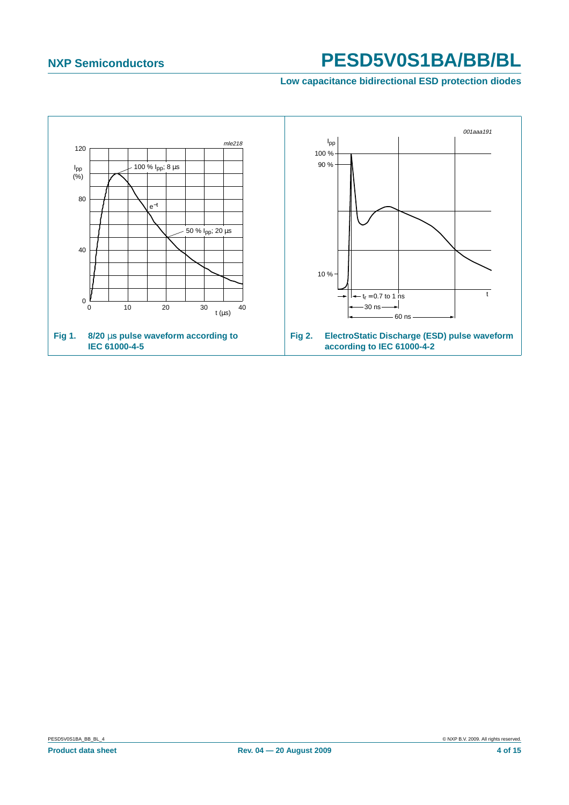<span id="page-3-0"></span>**Low capacitance bidirectional ESD protection diodes**

<span id="page-3-1"></span>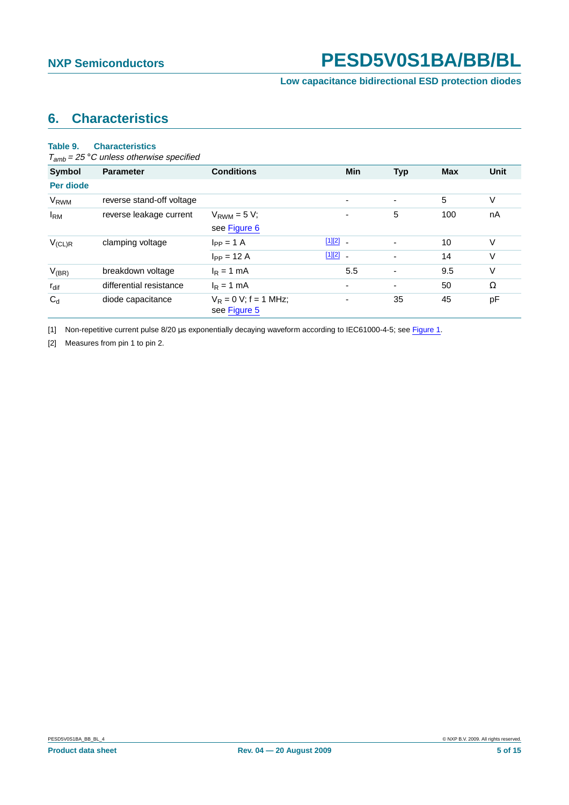# <span id="page-4-2"></span>**6. Characteristics**

#### **Table 9. Characteristics**

 $T_{amb}$  = 25 °C unless otherwise specified

| <b>Symbol</b>          | <b>Parameter</b>          | <b>Conditions</b>                        |              | <b>Min</b>               | <b>Typ</b>               | <b>Max</b> | <b>Unit</b> |
|------------------------|---------------------------|------------------------------------------|--------------|--------------------------|--------------------------|------------|-------------|
| Per diode              |                           |                                          |              |                          |                          |            |             |
| <b>V<sub>RWM</sub></b> | reverse stand-off voltage |                                          |              |                          |                          | 5          | V           |
| $I_{\rm RM}$           | reverse leakage current   | $V_{RWM} = 5 V$ ;<br>see Figure 6        |              |                          | 5                        | 100        | nA          |
| $V_{(CL)R}$            | clamping voltage          | $I_{PP} = 1$ A                           | $[1][2]$ $-$ |                          | $\blacksquare$           | 10         | V           |
|                        |                           | $I_{PP} = 12 A$                          | $[1][2]$ -   |                          | $\overline{\phantom{a}}$ | 14         | V           |
| $V_{(BR)}$             | breakdown voltage         | $I_R = 1$ mA                             |              | 5.5                      | $\overline{\phantom{a}}$ | 9.5        | V           |
| $r_{\text{dif}}$       | differential resistance   | $I_R = 1$ mA                             |              | $\overline{\phantom{0}}$ | $\overline{\phantom{a}}$ | 50         | Ω           |
| $C_d$                  | diode capacitance         | $V_R = 0 V$ ; f = 1 MHz;<br>see Figure 5 |              |                          | 35                       | 45         | pF          |

<span id="page-4-0"></span>[1] Non-repetitive current pulse 8/20 µs exponentially decaying waveform according to IEC61000-4-5; see [Figure](#page-3-1) 1.

<span id="page-4-1"></span>[2] Measures from pin 1 to pin 2.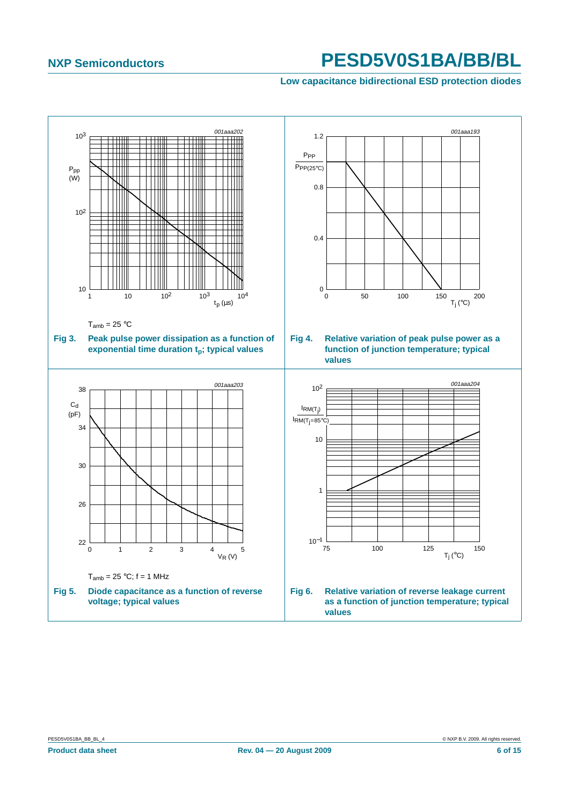<span id="page-5-0"></span>**Low capacitance bidirectional ESD protection diodes**

<span id="page-5-1"></span>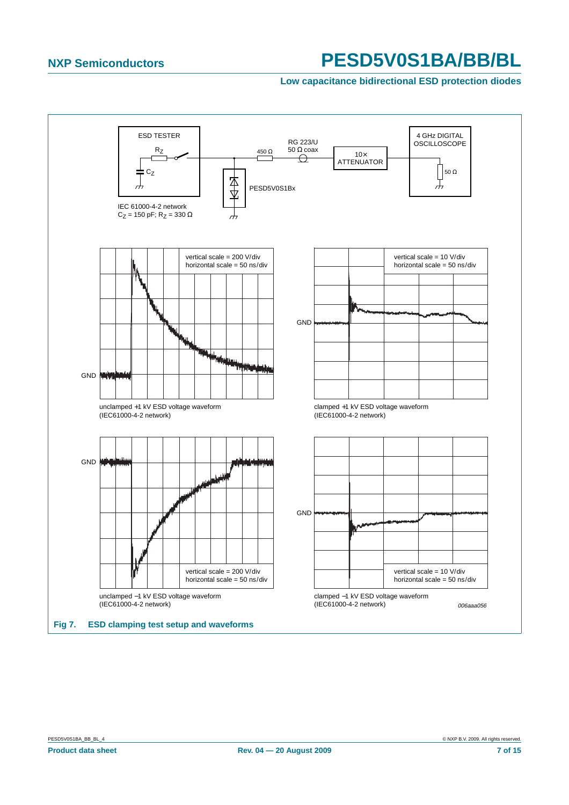#### **Low capacitance bidirectional ESD protection diodes**

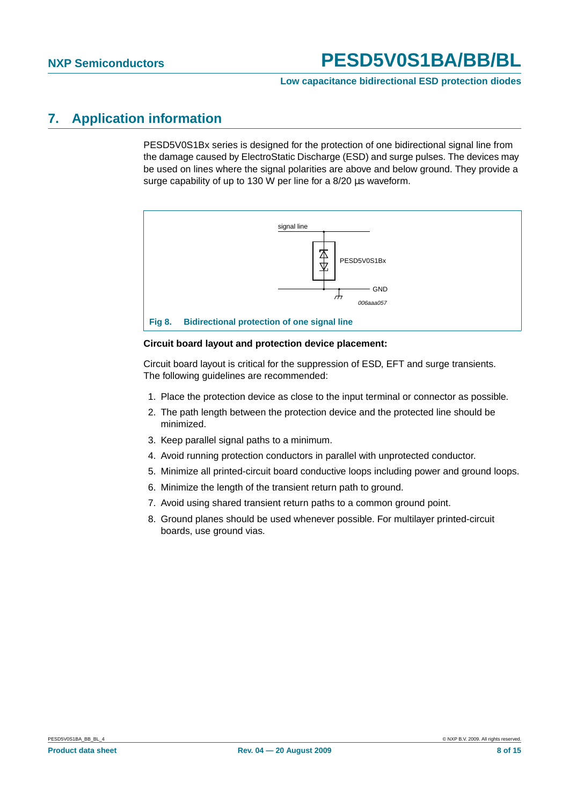#### **Low capacitance bidirectional ESD protection diodes**

## <span id="page-7-0"></span>**7. Application information**

PESD5V0S1Bx series is designed for the protection of one bidirectional signal line from the damage caused by ElectroStatic Discharge (ESD) and surge pulses. The devices may be used on lines where the signal polarities are above and below ground. They provide a surge capability of up to 130 W per line for a 8/20 µs waveform.



#### **Circuit board layout and protection device placement:**

Circuit board layout is critical for the suppression of ESD, EFT and surge transients. The following guidelines are recommended:

- 1. Place the protection device as close to the input terminal or connector as possible.
- 2. The path length between the protection device and the protected line should be minimized.
- 3. Keep parallel signal paths to a minimum.
- 4. Avoid running protection conductors in parallel with unprotected conductor.
- 5. Minimize all printed-circuit board conductive loops including power and ground loops.
- 6. Minimize the length of the transient return path to ground.
- 7. Avoid using shared transient return paths to a common ground point.
- 8. Ground planes should be used whenever possible. For multilayer printed-circuit boards, use ground vias.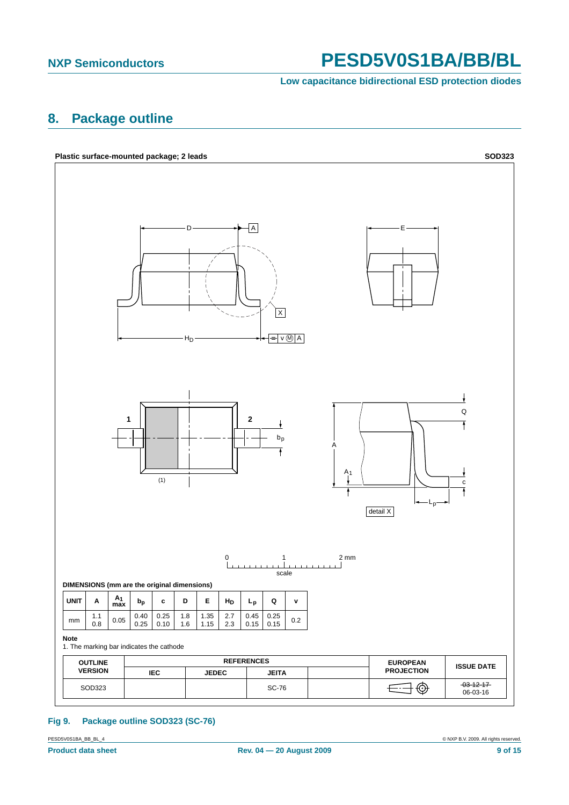**Low capacitance bidirectional ESD protection diodes**

## <span id="page-8-1"></span>**8. Package outline**



### <span id="page-8-0"></span>**Fig 9. Package outline SOD323 (SC-76)**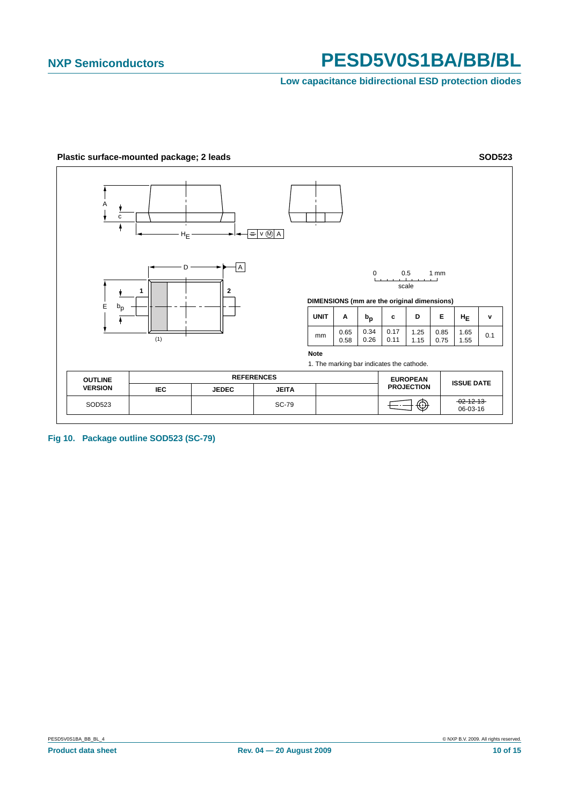**Low capacitance bidirectional ESD protection diodes**



**Fig 10. Package outline SOD523 (SC-79)**

<span id="page-9-0"></span>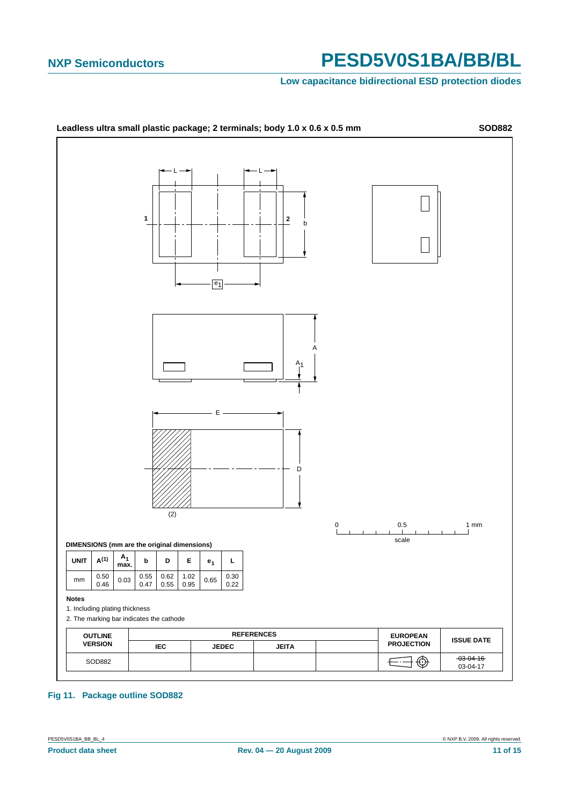#### **Low capacitance bidirectional ESD protection diodes**



#### **Fig 11. Package outline SOD882**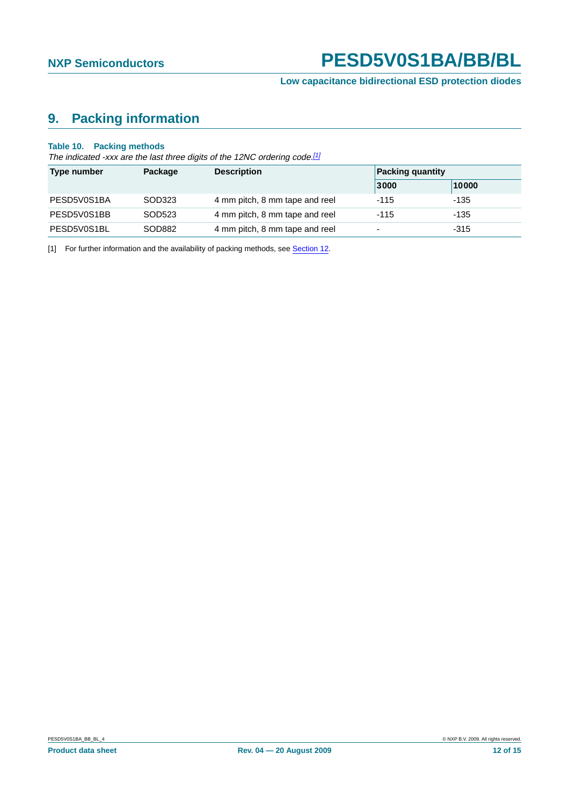# <span id="page-11-1"></span>**9. Packing information**

#### **Table 10. Packing methods**

The indicated -xxx are the last three digits of the 12NC ordering code.<sup>[\[1\]](#page-11-0)</sup>

| Type number | <b>Description</b><br>Package |                                | <b>Packing quantity</b>  |        |  |
|-------------|-------------------------------|--------------------------------|--------------------------|--------|--|
|             |                               |                                | 3000                     | 10000  |  |
| PESD5V0S1BA | SOD323                        | 4 mm pitch, 8 mm tape and reel | $-115$                   | -135   |  |
| PESD5V0S1BB | SOD523                        | 4 mm pitch, 8 mm tape and reel | $-115$                   | $-135$ |  |
| PESD5V0S1BL | SOD882                        | 4 mm pitch, 8 mm tape and reel | $\overline{\phantom{0}}$ | $-315$ |  |

<span id="page-11-0"></span>[1] For further information and the availability of packing methods, see [Section](#page-13-0) 12.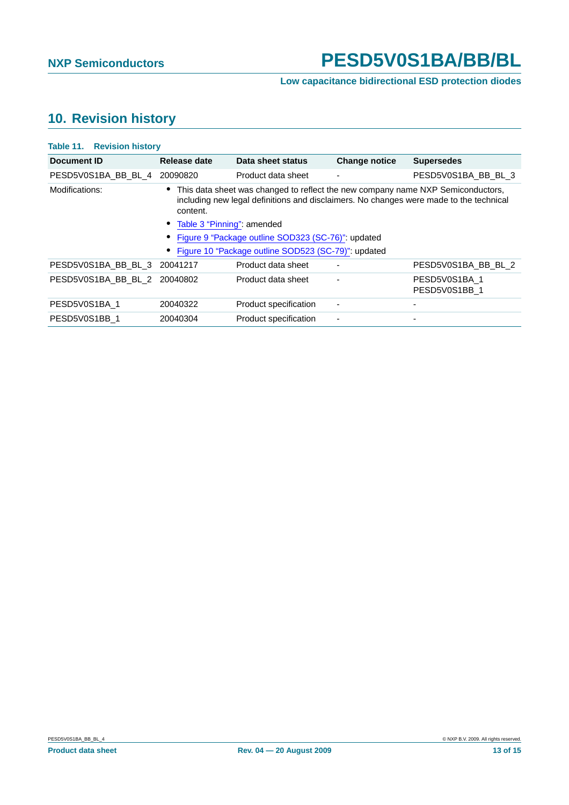# <span id="page-12-0"></span>**10. Revision history**

| <b>Table 11. Revision history</b> |                              |                                                                                                                                                                             |                          |                                |  |  |
|-----------------------------------|------------------------------|-----------------------------------------------------------------------------------------------------------------------------------------------------------------------------|--------------------------|--------------------------------|--|--|
| Document ID                       | Release date                 | Data sheet status                                                                                                                                                           | <b>Change notice</b>     | <b>Supersedes</b>              |  |  |
| PESD5V0S1BA BB BL 4               | 20090820                     | Product data sheet                                                                                                                                                          | $\overline{\phantom{a}}$ | PESD5V0S1BA BB BL 3            |  |  |
| Modifications:                    | content.                     | • This data sheet was changed to reflect the new company name NXP Semiconductors,<br>including new legal definitions and disclaimers. No changes were made to the technical |                          |                                |  |  |
|                                   | • Table 3 "Pinning": amended |                                                                                                                                                                             |                          |                                |  |  |
|                                   |                              | • Figure 9 "Package outline SOD323 (SC-76)": updated                                                                                                                        |                          |                                |  |  |
|                                   |                              | Figure 10 "Package outline SOD523 (SC-79)": updated                                                                                                                         |                          |                                |  |  |
| PESD5V0S1BA BB BL 3               | 20041217                     | Product data sheet                                                                                                                                                          |                          | PESD5V0S1BA BB BL 2            |  |  |
| PESD5V0S1BA BB BL 2               | 20040802                     | Product data sheet                                                                                                                                                          |                          | PESD5V0S1BA 1<br>PESD5V0S1BB 1 |  |  |
| PESD5V0S1BA 1                     | 20040322                     | Product specification                                                                                                                                                       |                          |                                |  |  |
| PESD5V0S1BB 1                     | 20040304                     | Product specification                                                                                                                                                       |                          |                                |  |  |
|                                   |                              |                                                                                                                                                                             |                          |                                |  |  |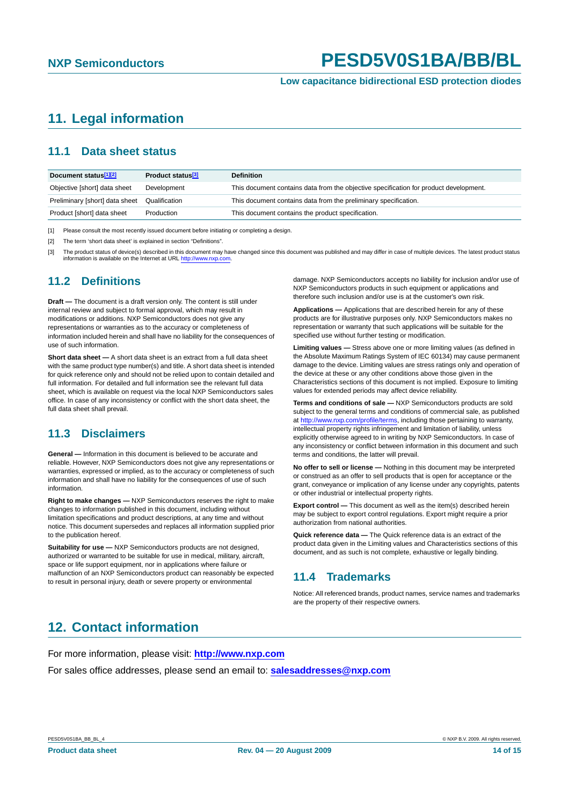# <span id="page-13-1"></span>**11. Legal information**

### <span id="page-13-2"></span>**11.1 Data sheet status**

| Document status <sup>[1][2]</sup> | Product status <sup>[3]</sup> | <b>Definition</b>                                                                     |
|-----------------------------------|-------------------------------|---------------------------------------------------------------------------------------|
| Objective [short] data sheet      | Development                   | This document contains data from the objective specification for product development. |
| Preliminary [short] data sheet    | Qualification                 | This document contains data from the preliminary specification.                       |
| Product [short] data sheet        | Production                    | This document contains the product specification.                                     |

[1] Please consult the most recently issued document before initiating or completing a design.

[2] The term 'short data sheet' is explained in section "Definitions".

[3] The product status of device(s) described in this document may have changed since this document was published and may differ in case of multiple devices. The latest product status information is available on the Internet at URL http://www.nxp.com.

### <span id="page-13-3"></span>**11.2 Definitions**

**Draft —** The document is a draft version only. The content is still under internal review and subject to formal approval, which may result in modifications or additions. NXP Semiconductors does not give any representations or warranties as to the accuracy or completeness of information included herein and shall have no liability for the consequences of use of such information.

**Short data sheet —** A short data sheet is an extract from a full data sheet with the same product type number(s) and title. A short data sheet is intended for quick reference only and should not be relied upon to contain detailed and full information. For detailed and full information see the relevant full data sheet, which is available on request via the local NXP Semiconductors sales office. In case of any inconsistency or conflict with the short data sheet, the full data sheet shall prevail.

### <span id="page-13-4"></span>**11.3 Disclaimers**

**General —** Information in this document is believed to be accurate and reliable. However, NXP Semiconductors does not give any representations or warranties, expressed or implied, as to the accuracy or completeness of such information and shall have no liability for the consequences of use of such information.

**Right to make changes —** NXP Semiconductors reserves the right to make changes to information published in this document, including without limitation specifications and product descriptions, at any time and without notice. This document supersedes and replaces all information supplied prior to the publication hereof.

**Suitability for use - NXP** Semiconductors products are not designed, authorized or warranted to be suitable for use in medical, military, aircraft, space or life support equipment, nor in applications where failure or malfunction of an NXP Semiconductors product can reasonably be expected to result in personal injury, death or severe property or environmental

damage. NXP Semiconductors accepts no liability for inclusion and/or use of NXP Semiconductors products in such equipment or applications and therefore such inclusion and/or use is at the customer's own risk.

**Applications —** Applications that are described herein for any of these products are for illustrative purposes only. NXP Semiconductors makes no representation or warranty that such applications will be suitable for the specified use without further testing or modification.

**Limiting values —** Stress above one or more limiting values (as defined in the Absolute Maximum Ratings System of IEC 60134) may cause permanent damage to the device. Limiting values are stress ratings only and operation of the device at these or any other conditions above those given in the Characteristics sections of this document is not implied. Exposure to limiting values for extended periods may affect device reliability.

**Terms and conditions of sale —** NXP Semiconductors products are sold subject to the general terms and conditions of commercial sale, as published at http://www.nxp.com/profile/terms, including those pertaining to warranty, intellectual property rights infringement and limitation of liability, unless explicitly otherwise agreed to in writing by NXP Semiconductors. In case of any inconsistency or conflict between information in this document and such terms and conditions, the latter will prevail.

**No offer to sell or license —** Nothing in this document may be interpreted or construed as an offer to sell products that is open for acceptance or the grant, conveyance or implication of any license under any copyrights, patents or other industrial or intellectual property rights.

**Export control —** This document as well as the item(s) described herein may be subject to export control regulations. Export might require a prior authorization from national authorities.

**Quick reference data —** The Quick reference data is an extract of the product data given in the Limiting values and Characteristics sections of this document, and as such is not complete, exhaustive or legally binding.

### <span id="page-13-5"></span>**11.4 Trademarks**

Notice: All referenced brands, product names, service names and trademarks are the property of their respective owners.

## <span id="page-13-0"></span>**12. Contact information**

For more information, please visit: **http://www.nxp.com**

For sales office addresses, please send an email to: **salesaddresses@nxp.com**